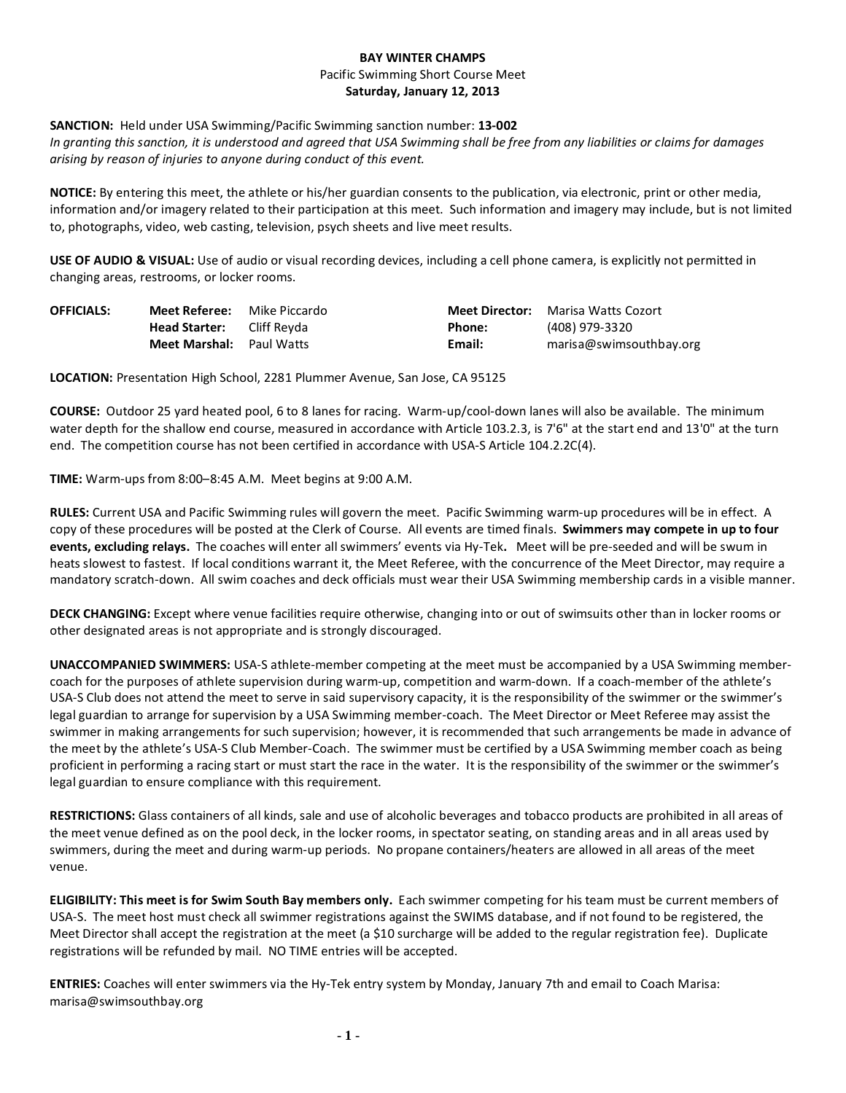## **BAY WINTER CHAMPS** Pacific Swimming Short Course Meet **Saturday, January 12, 2013**

## **SANCTION:** Held under USA Swimming/Pacific Swimming sanction number: **13-002**

*In granting this sanction, it is understood and agreed that USA Swimming shall be free from any liabilities or claims for damages arising by reason of injuries to anyone during conduct of this event.* 

**NOTICE:** By entering this meet, the athlete or his/her guardian consents to the publication, via electronic, print or other media, information and/or imagery related to their participation at this meet. Such information and imagery may include, but is not limited to, photographs, video, web casting, television, psych sheets and live meet results.

**USE OF AUDIO & VISUAL:** Use of audio or visual recording devices, including a cell phone camera, is explicitly not permitted in changing areas, restrooms, or locker rooms.

| <b>OFFICIALS:</b> | <b>Meet Referee:</b> Mike Piccardo |        | <b>Meet Director:</b> Marisa Watts Cozort |
|-------------------|------------------------------------|--------|-------------------------------------------|
|                   | <b>Head Starter:</b> Cliff Reyda   | Phone: | (408) 979-3320                            |
|                   | <b>Meet Marshal:</b> Paul Watts    | Email: | marisa@swimsouthbay.org                   |

**LOCATION:** Presentation High School, 2281 Plummer Avenue, San Jose, CA 95125

**COURSE:** Outdoor 25 yard heated pool, 6 to 8 lanes for racing. Warm-up/cool-down lanes will also be available. The minimum water depth for the shallow end course, measured in accordance with Article 103.2.3, is 7'6" at the start end and 13'0" at the turn end. The competition course has not been certified in accordance with USA-S Article 104.2.2C(4).

**TIME:** Warm-ups from 8:00–8:45 A.M. Meet begins at 9:00 A.M.

**RULES:** Current USA and Pacific Swimming rules will govern the meet. Pacific Swimming warm-up procedures will be in effect. A copy of these procedures will be posted at the Clerk of Course. All events are timed finals. **Swimmers may compete in up to four events, excluding relays.** The coaches will enter all swimmers' events via Hy-Tek**.** Meet will be pre-seeded and will be swum in heats slowest to fastest. If local conditions warrant it, the Meet Referee, with the concurrence of the Meet Director, may require a mandatory scratch-down. All swim coaches and deck officials must wear their USA Swimming membership cards in a visible manner.

**DECK CHANGING:** Except where venue facilities require otherwise, changing into or out of swimsuits other than in locker rooms or other designated areas is not appropriate and is strongly discouraged.

**UNACCOMPANIED SWIMMERS:** USA-S athlete-member competing at the meet must be accompanied by a USA Swimming membercoach for the purposes of athlete supervision during warm-up, competition and warm-down. If a coach-member of the athlete's USA-S Club does not attend the meet to serve in said supervisory capacity, it is the responsibility of the swimmer or the swimmer's legal guardian to arrange for supervision by a USA Swimming member-coach. The Meet Director or Meet Referee may assist the swimmer in making arrangements for such supervision; however, it is recommended that such arrangements be made in advance of the meet by the athlete's USA-S Club Member-Coach. The swimmer must be certified by a USA Swimming member coach as being proficient in performing a racing start or must start the race in the water. It is the responsibility of the swimmer or the swimmer's legal guardian to ensure compliance with this requirement.

**RESTRICTIONS:** Glass containers of all kinds, sale and use of alcoholic beverages and tobacco products are prohibited in all areas of the meet venue defined as on the pool deck, in the locker rooms, in spectator seating, on standing areas and in all areas used by swimmers, during the meet and during warm-up periods. No propane containers/heaters are allowed in all areas of the meet venue.

**ELIGIBILITY: This meet is for Swim South Bay members only.** Each swimmer competing for his team must be current members of USA-S. The meet host must check all swimmer registrations against the SWIMS database, and if not found to be registered, the Meet Director shall accept the registration at the meet (a \$10 surcharge will be added to the regular registration fee). Duplicate registrations will be refunded by mail. NO TIME entries will be accepted.

**ENTRIES:** Coaches will enter swimmers via the Hy-Tek entry system by Monday, January 7th and email to Coach Marisa: marisa@swimsouthbay.org